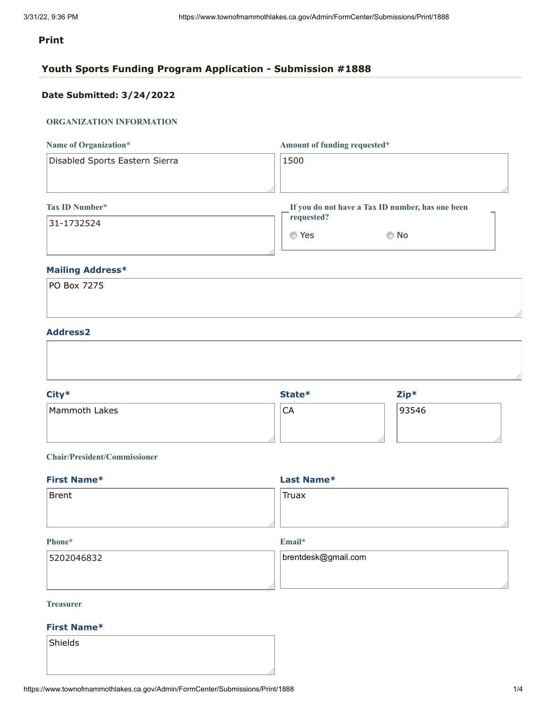# **Print**

# **Youth Sports Funding Program Application - Submission #1888**

# **Date Submitted: 3/24/2022**

# **ORGANIZATION INFORMATION**

| Name of Organization*          | Amount of funding requested*                     |
|--------------------------------|--------------------------------------------------|
| Disabled Sports Eastern Sierra | 1500                                             |
|                                |                                                  |
| <b>Tax ID Number*</b>          | If you do not have a Tax ID number, has one been |
| 31-1732524                     | requested?                                       |
|                                | Yes<br>No.<br>⊙                                  |

# **Mailing Address\***

| PO Box 7275 |  |  |  |
|-------------|--|--|--|
|             |  |  |  |
|             |  |  |  |

# **Address2**

|               |    | $Zip*$ |  |
|---------------|----|--------|--|
| Mammoth Lakes | CA | 93546  |  |
|               |    |        |  |
|               |    |        |  |

## **Chair/President/Commissioner**

| Last Name*         |  |
|--------------------|--|
| <sup>'</sup> Truax |  |
|                    |  |
|                    |  |

#### **Phone\***

**Email\***

| 5202046832 | brentdesk@gmail.com |
|------------|---------------------|
|            |                     |
|            |                     |

## **Treasurer**

# **First Name\***

Shields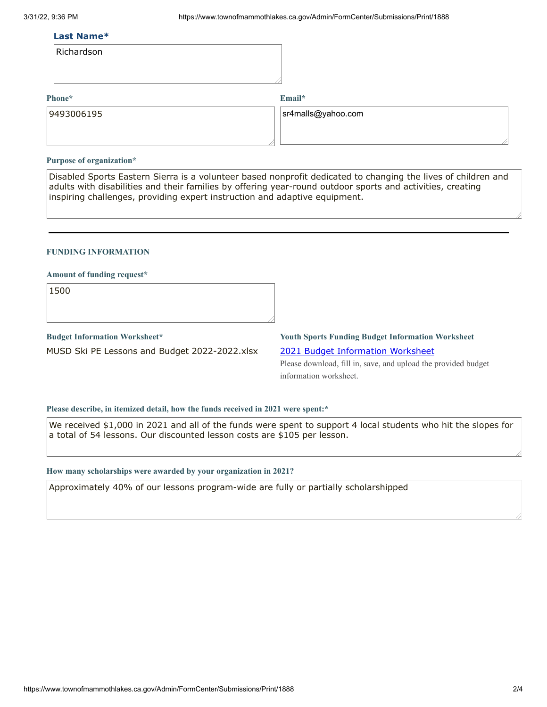#### **Last Name\***

| Richardson |  |
|------------|--|
|------------|--|

#### **Phone\***

**Email\***

| 9493006195 | $ s$ r4malls@yahoo.com |
|------------|------------------------|
|            |                        |

#### **Purpose of organization\***

Disabled Sports Eastern Sierra is a volunteer based nonprofit dedicated to changing the lives of children and adults with disabilities and their families by offering year-round outdoor sports and activities, creating inspiring challenges, providing expert instruction and adaptive equipment.

#### **FUNDING INFORMATION**

#### **Amount of funding request\***

1500

## **Budget Information Worksheet\***

MUSD Ski PE Lessons and Budget 2022-2022.xlsx

# **Youth Sports Funding Budget Information Worksheet**

2021 Budget [Information](https://www.townofmammothlakes.ca.gov/DocumentCenter/View/11932/2021-Youth-Sports-Funding-Budget-Information-Template) Worksheet

Please download, fill in, save, and upload the provided budget information worksheet.

#### **Please describe, in itemized detail, how the funds received in 2021 were spent:\***

We received \$1,000 in 2021 and all of the funds were spent to support 4 local students who hit the slopes for a total of 54 lessons. Our discounted lesson costs are \$105 per lesson.

#### **How many scholarships were awarded by your organization in 2021?**

Approximately 40% of our lessons program-wide are fully or partially scholarshipped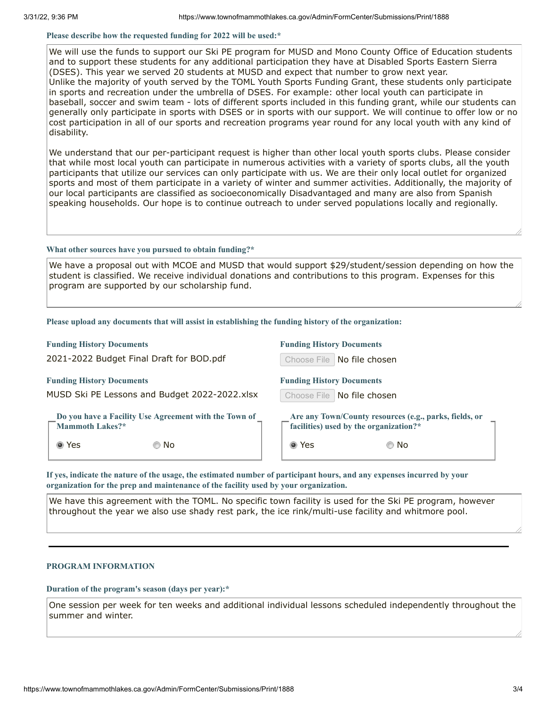#### **Please describe how the requested funding for 2022 will be used:\***

We will use the funds to support our Ski PE program for MUSD and Mono County Office of Education students and to support these students for any additional participation they have at Disabled Sports Eastern Sierra (DSES). This year we served 20 students at MUSD and expect that number to grow next year. Unlike the majority of youth served by the TOML Youth Sports Funding Grant, these students only participate in sports and recreation under the umbrella of DSES. For example: other local youth can participate in baseball, soccer and swim team - lots of different sports included in this funding grant, while our students can generally only participate in sports with DSES or in sports with our support. We will continue to offer low or no cost participation in all of our sports and recreation programs year round for any local youth with any kind of disability.

We understand that our per-participant request is higher than other local youth sports clubs. Please consider that while most local youth can participate in numerous activities with a variety of sports clubs, all the youth participants that utilize our services can only participate with us. We are their only local outlet for organized sports and most of them participate in a variety of winter and summer activities. Additionally, the majority of our local participants are classified as socioeconomically Disadvantaged and many are also from Spanish speaking households. Our hope is to continue outreach to under served populations locally and regionally.

#### **What other sources have you pursued to obtain funding?\***

We have a proposal out with MCOE and MUSD that would support \$29/student/session depending on how the student is classified. We receive individual donations and contributions to this program. Expenses for this program are supported by our scholarship fund.

#### **Please upload any documents that will assist in establishing the funding history of the organization:**

#### **Funding History Documents**

2021-2022 Budget Final Draft for BOD.pdf

#### **Funding History Documents**

MUSD Ski PE Lessons and Budget 2022-2022.xlsx

**Do you have a Facility Use Agreement with the Town of Mammoth Lakes?\***

Yes No

| <b>Funding History Documents</b> |                                                                                                              |
|----------------------------------|--------------------------------------------------------------------------------------------------------------|
|                                  | Choose File No file chosen                                                                                   |
| <b>Funding History Documents</b> |                                                                                                              |
|                                  | Choose File No file chosen                                                                                   |
|                                  | Are any Town/County resources (e.g., parks, fields, or<br>$\sqrt{\ }$ facilities) used by the organization?* |
| Yes                              |                                                                                                              |

If yes, indicate the nature of the usage, the estimated number of participant hours, and any expenses incurred by your **organization for the prep and maintenance of the facility used by your organization.**

We have this agreement with the TOML. No specific town facility is used for the Ski PE program, however throughout the year we also use shady rest park, the ice rink/multi-use facility and whitmore pool.

#### **PROGRAM INFORMATION**

**Duration of the program's season (days per year):\***

One session per week for ten weeks and additional individual lessons scheduled independently throughout the summer and winter.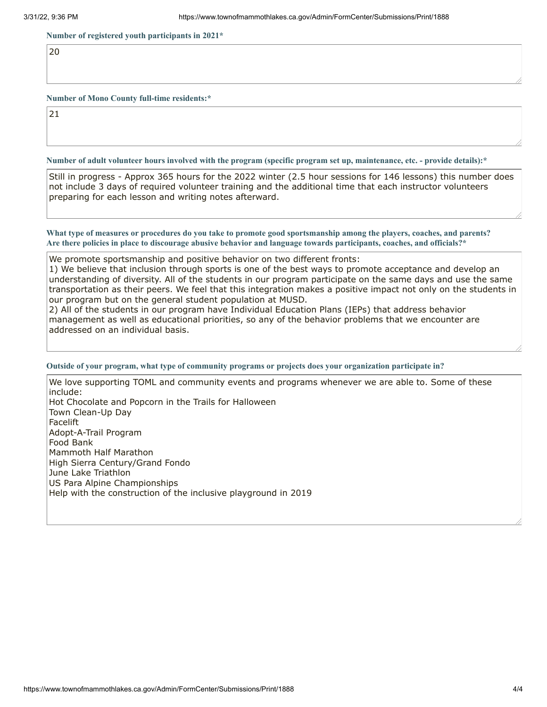**Number of registered youth participants in 2021\***

20

**Number of Mono County full-time residents:\***

21

Number of adult volunteer hours involved with the program (specific program set up, maintenance, etc. - provide details):\*

Still in progress - Approx 365 hours for the 2022 winter (2.5 hour sessions for 146 lessons) this number does not include 3 days of required volunteer training and the additional time that each instructor volunteers preparing for each lesson and writing notes afterward.

What type of measures or procedures do you take to promote good sportsmanship among the players, coaches, and parents? Are there policies in place to discourage abusive behavior and language towards participants, coaches, and officials?\*

We promote sportsmanship and positive behavior on two different fronts:

1) We believe that inclusion through sports is one of the best ways to promote acceptance and develop an understanding of diversity. All of the students in our program participate on the same days and use the same transportation as their peers. We feel that this integration makes a positive impact not only on the students in our program but on the general student population at MUSD.

2) All of the students in our program have Individual Education Plans (IEPs) that address behavior management as well as educational priorities, so any of the behavior problems that we encounter are addressed on an individual basis.

#### **Outside of your program, what type of community programs or projects does your organization participate in?**

We love supporting TOML and community events and programs whenever we are able to. Some of these include: Hot Chocolate and Popcorn in the Trails for Halloween Town Clean-Up Day Facelift Adopt-A-Trail Program Food Bank Mammoth Half Marathon High Sierra Century/Grand Fondo June Lake Triathlon US Para Alpine Championships Help with the construction of the inclusive playground in 2019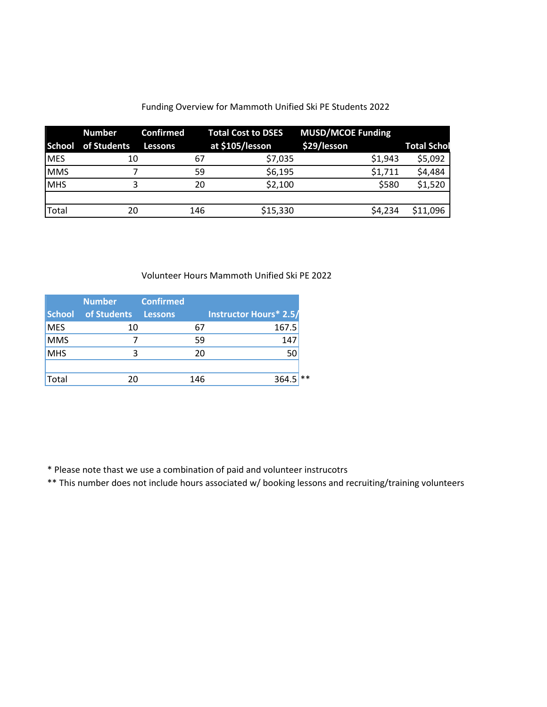# Funding Overview for Mammoth Unified Ski PE Students 2022

|            | <b>Number</b>             | <b>Confirmed</b> |     | <b>Total Cost to DSES</b> | <b>MUSD/MCOE Funding</b> |         |                    |
|------------|---------------------------|------------------|-----|---------------------------|--------------------------|---------|--------------------|
|            | <b>School</b> of Students | <b>Lessons</b>   |     | at \$105/lesson           | \$29/lesson              |         | <b>Total Schol</b> |
| <b>MES</b> | 10                        |                  | 67  | \$7,035                   |                          | \$1,943 | \$5,092            |
| <b>MMS</b> |                           |                  | 59  | \$6,195                   |                          | \$1,711 | \$4,484            |
| <b>MHS</b> |                           |                  | 20  | \$2,100                   |                          | \$580   | \$1,520            |
|            |                           |                  |     |                           |                          |         |                    |
| Total      | 20                        |                  | 146 | \$15,330                  |                          | \$4,234 | \$11,096           |

Volunteer Hours Mammoth Unified Ski PE 2022

|               | <b>Number</b> | <b>Confirmed</b> |     |                        |
|---------------|---------------|------------------|-----|------------------------|
| <b>School</b> | of Students   | <b>Lessons</b>   |     | Instructor Hours* 2.5/ |
| <b>MES</b>    | 10            |                  | b.  | 167.5                  |
| <b>MMS</b>    |               |                  | 59  | 147                    |
| <b>MHS</b>    | 3             |                  | 20  | 50                     |
|               |               |                  |     |                        |
| Total         | 20            |                  | 146 | 364.5                  |

\* Please note thast we use a combination of paid and volunteer instrucotrs

\*\* This number does not include hours associated w/ booking lessons and recruiting/training volunteers